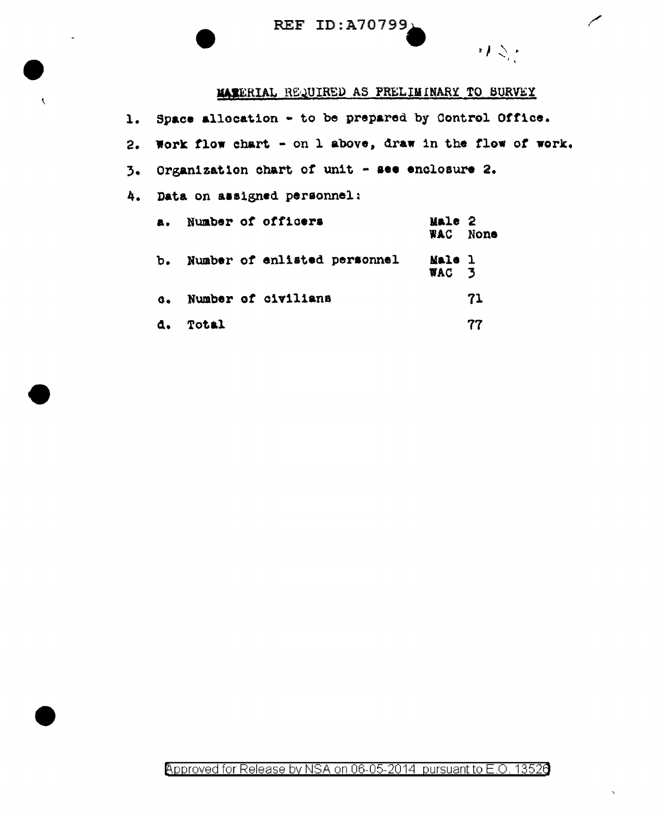REF ID: A70799)

 $\bar{\chi}$ 

## MARERIAL REQUIRED AS PRELIMINARY TO SURVEY

 $\overline{\phantom{0}}$ 

りぐく

| 1. Space allocation - to be prepared by Control Office.    |                 |          |
|------------------------------------------------------------|-----------------|----------|
| 2. Work flow chart - on 1 above, draw in the flow of work. |                 |          |
| 3. Organization chart of unit - see enclosure 2.           |                 |          |
| 4. Data on assigned personnel:                             |                 |          |
| a. Number of officers                                      | Male 2          | WAC None |
| b. Number of enlisted personnel                            | Male 1<br>WAC 3 |          |
| c. Number of civilians                                     |                 | 71       |
| Total<br>a.                                                |                 | 77       |

Approved for Release by NSA on 06-05-2014 pursuant to E.O. 13526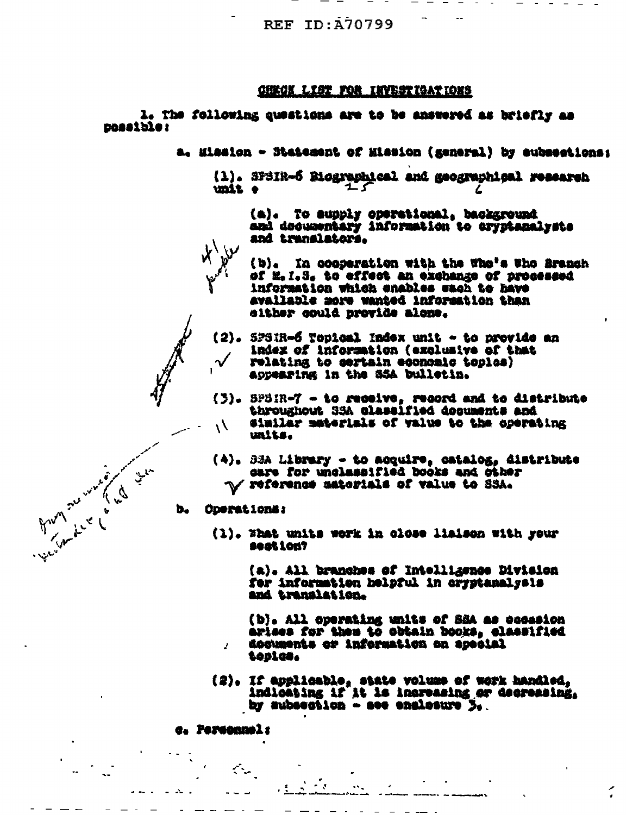**REF ID: A70799** 

## **CHECK LIST FOR INVESTIGATIONS**

l. The following questions are to be answered as briefly as neasible:

- a. Mission Statement of Hission (general) by aubsections:
	- (1). SPSIR-6 Biographical and geographical research unit e

(a). To supply operational, background and decumentary information to cryptanalysts and translators.

(b). In coeperation with the Whe's Who Branch of M.I.S. to effect an exchange of processed information which enables sach to have available more wanted information than alther could provide alone.

(2). SPSIR-6 Topical Index unit - to previde an index of information (exclusive of that relating to sertain economic toples) appearing in the SSA bulletin.

- (3). SPSIR-7 to receive, record and to distribute throughout 35A classified documents and similar materials of value to the operating  $\mathcal{N}_{\ell}$ units.
- (4). SEA Library to acquire, catalog, distribute care for unclassified books and other **V reference materials of value to SSA.**

Operations: b.

From the work of the time

(1). What units work in close liaison with your seation?

> (a). All branches of Intelligence Division for information helpful in cryptanalysis and translation.

(b). All operating units of SSA as cecasion arises for them to obtain books, classified documents or information on special toples.

 $(2)$ . If applicable, state volume of work handled,<br>indicating if it is increasing or decreasing. by subsection - see englesure L.

 $\mathcal{L} = \mathcal{L}$ 

c. Personnel:

ž.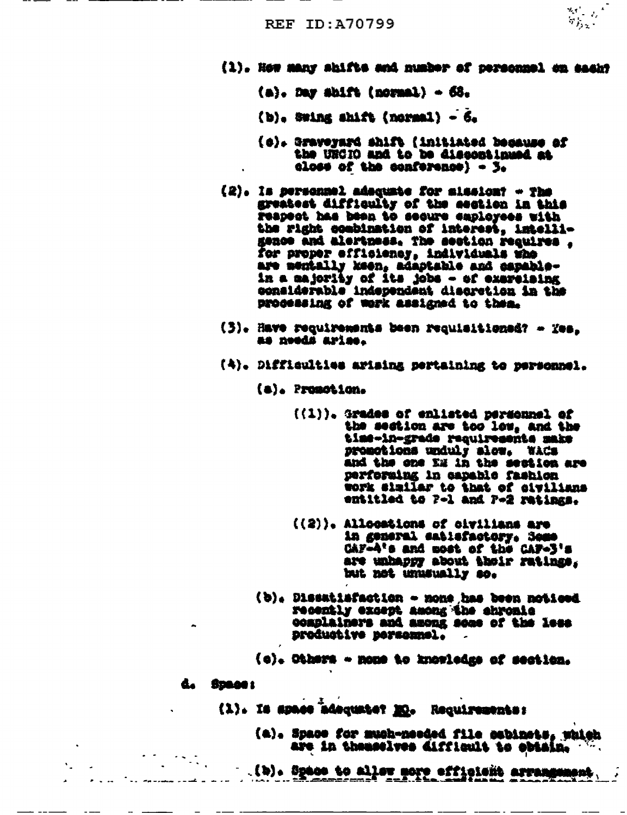$\begin{array}{l} \frac{d_1}{d_1} & \ldots \\ \frac{d_1}{d_1} & \frac{d_2}{d_2} \end{array}$ 

- (1). How many shifts and number of personnel on saakt
	- $(a)$ . Day shift (normal)  $-68$ .
	- (b), Swing shift (normal) 6.
	- (c). Graveyard shift (initiated because of the URCIO and to be discontinued at  $\alpha$ lose of the conference) -  $\beta$ .
- (2). Is personnel adoquate for alsolony The greatest difficulty of the section in this respect has been to secure employees with the right combination of interest, intelligence and alertness. The section requires . for proper efficiency, individuals the are mentally keen, adaptable and capablein a sajority of its jobs - of exarcising considerable independent discretion in the processing of work assigned to them.
- (3). Have requirements been requisitioned? Yes. as needs arise.
- (4). Difficulties arising pertaining to personnel.

(a). Promotion.

- $((1))$ . Grades of enlisted personnel of the section are too low, and the time-in-grade requirements make promotions unduly slow. WACS and the one EM in the section are performing in capable fashion work similar to that of sivilians entitled to 7-1 and 7-2 ratings.
- ((2)). Allocations of civilians are in general eatisfactory, Some CAF-A's and most of the CAF-3's are unhappy about their ratings. but not unusually so.
- (b). Dissatiafaction none has been noticed recently except among the chronic complainers and among some of the less productive personnel.
- (c). Others nome to knowledge of section.

d. Space:

- (1). Is space adequate? Mo. Requirements:
	- (a). Space for much-needed file cobinets, which are in themselves difficult to obtain.
	- (b). Space to aller nore efficient arrangement.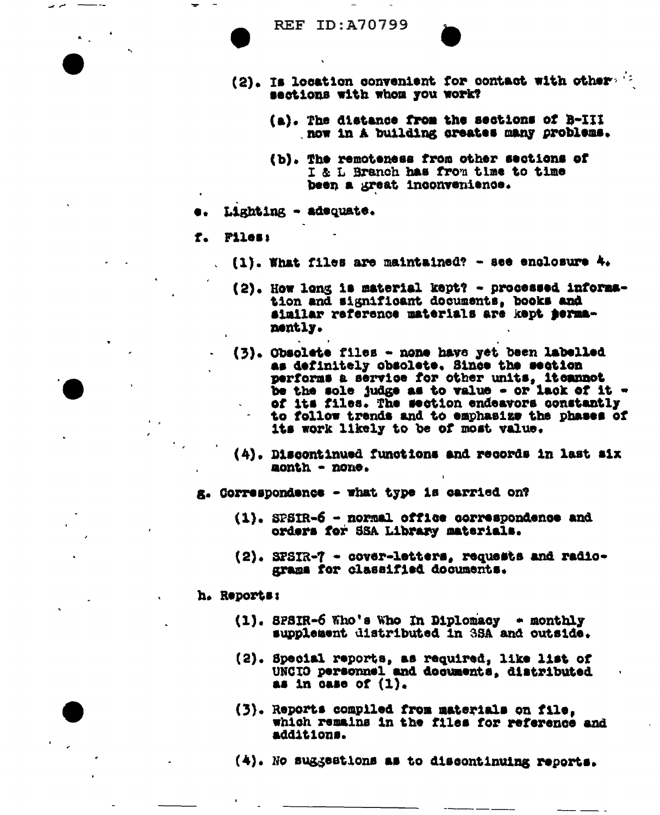

- (2). Is location convenient for contact with others if sections with whom you work?
	- (a). The distance from the sections of B-III now in A building creates many problems.
	- (b). The remoteness from other sections of I & L Branch has from time to time been a great inconvenience.
- Lighting adequate.
- Files:  $f_{\bullet}$

 $\overline{\phantom{a}}$ 

- $(1)$ . What files are maintained? see enclosure 4.
- (2). How long is material kept? processed information and significant documents, books and similar reference materials are kept permanently.
- (3). Obsolete files none have yet been labelled as definitely obsolete. Since the section performs a service for other units, itcannot be the sole judge as to value - or lack of it of its files. The section endeavors constantly to follow trends and to emphasize the phases of its work likely to be of most value.
- (4). Discontinued functions and records in last six month - none.
- g. Correspondence what type is carried on?
	- (1). SPSIR-6 normal office correspondence and orders for SSA Library materials.
	- (2). SFSIR-7 cover-letters, requests and radiograms for classified documents.

h. Reports:

- $(1)$ . SPSIR-6 Who's Who In Diplomacy monthly supplement distributed in 3SA and outside.
- (2). Special reports, as required, like list of UNCIO personnel and documents, distributed as in case of  $(1)$ .
- (3). Reports compiled from materials on file, which remains in the files for reference and additions.
- (4). No suggestions as to discontinuing reports.